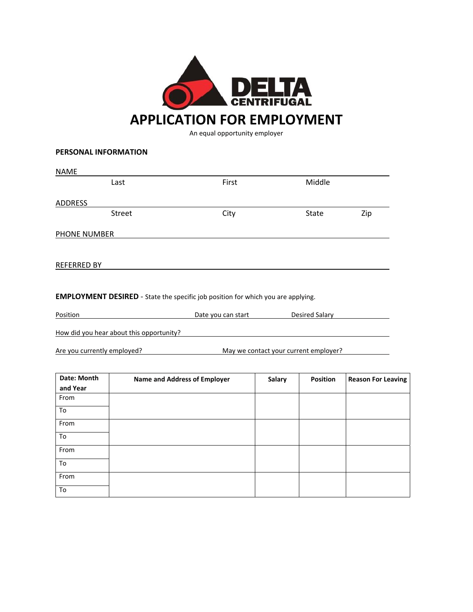

An equal opportunity employer

## **PERSONAL INFORMATION**

| <b>NAME</b>        |        |       |              |     |
|--------------------|--------|-------|--------------|-----|
|                    | Last   | First | Middle       |     |
|                    |        |       |              |     |
| <b>ADDRESS</b>     |        |       |              |     |
|                    | Street | City  | <b>State</b> | Zip |
|                    |        |       |              |     |
| PHONE NUMBER       |        |       |              |     |
|                    |        |       |              |     |
|                    |        |       |              |     |
| <b>REFERRED BY</b> |        |       |              |     |
|                    |        |       |              |     |
|                    |        |       |              |     |

**EMPLOYMENT DESIRED** ‐ State the specific job position for which you are applying.

Position **Date you can start Desired Salary Desired Salary Desired Salary** 

How did you hear about this opportunity?

Are you currently employed? May we contact your current employer?

| Date: Month<br>and Year | <b>Name and Address of Employer</b> | Salary | <b>Position</b> | <b>Reason For Leaving</b> |
|-------------------------|-------------------------------------|--------|-----------------|---------------------------|
| From                    |                                     |        |                 |                           |
| To                      |                                     |        |                 |                           |
| From                    |                                     |        |                 |                           |
| To                      |                                     |        |                 |                           |
| From                    |                                     |        |                 |                           |
| To                      |                                     |        |                 |                           |
| From                    |                                     |        |                 |                           |
| To                      |                                     |        |                 |                           |